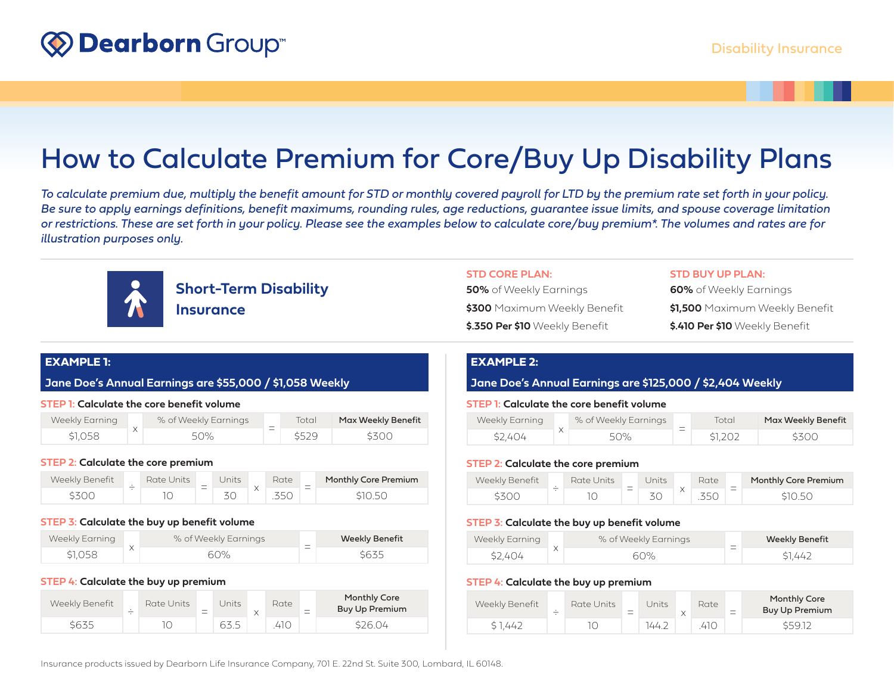# How to Calculate Premium for Core/Buy Up Disability Plans

*To calculate premium due, multiply the benefit amount for STD or monthly covered payroll for LTD by the premium rate set forth in your policy. Be sure to apply earnings definitions, benefit maximums, rounding rules, age reductions, guarantee issue limits, and spouse coverage limitation or restrictions. These are set forth in your policy. Please see the examples below to calculate core/buy premium\*. The volumes and rates are for illustration purposes only.*



**Short-Term Disability Insurance**

## **STD CORE PLAN:**

| 50% of Weekly Earnings         |  |
|--------------------------------|--|
| \$300 Maximum Weekly Benefit   |  |
| \$.350 Per \$10 Weekly Benefit |  |

## **STD BUY UP PLAN:**

**60%** of Weekly Earnings **\$1,500** Maximum Weekly Benefit **\$.410 Per \$10** Weekly Benefit

# **EXAMPLE 1:**

**Jane Doe's Annual Earnings are \$55,000 / \$1,058 Weekly**

## **STEP 1: Calculate the core benefit volume**

| Weekly Earning | % of Weekly Earnings | $\sim$                   | Total | Max Weekly Benefit |
|----------------|----------------------|--------------------------|-------|--------------------|
| \$1.058        | 50%                  | $\overline{\phantom{a}}$ | \$529 | \$300              |

### **STEP 2: Calculate the core premium**

| Weekly Benefit | Rate Units | $\overline{\phantom{a}}$ | <b>Jnits</b> | Rate | $\overline{\phantom{a}}$ | Monthly Core Premium |
|----------------|------------|--------------------------|--------------|------|--------------------------|----------------------|
| こてへい           |            | $\overline{\phantom{a}}$ |              |      | $\overline{\phantom{a}}$ | SIO 50               |

### **STEP 3: Calculate the buy up benefit volume**

| Weekly Earning | % of Weekly Earnings | $\overline{\phantom{a}}$ | <b>Weekly Benefit</b> |
|----------------|----------------------|--------------------------|-----------------------|
| \$1.058        | 60%                  | $\overline{\phantom{0}}$ | \$635                 |

#### **STEP 4: Calculate the buy up premium**

| Weekly Benefit | Rate Units | $\overline{\phantom{a}}$ | Jnits | Rate | $\overline{\phantom{a}}$<br>$-$ | <b>Monthly Core</b><br>Buy Up Premium |
|----------------|------------|--------------------------|-------|------|---------------------------------|---------------------------------------|
| \$635          |            |                          | 63.5  | 410. |                                 | \$26.04                               |

# **EXAMPLE 2:**

## **Jane Doe's Annual Earnings are \$125,000 / \$2,404 Weekly**

## **STEP 1: Calculate the core benefit volume**

| Weekly Earning | % of Weekly Earnings | Total   | Max Weekly Benefit |
|----------------|----------------------|---------|--------------------|
| \$2.404        | 50%                  | \$1,202 | \$300              |

## **STEP 2: Calculate the core premium**

| Weekly Benefit | _ | Rate Units' | $\overline{\phantom{a}}$ | Inits | Rate            | $\overline{\phantom{a}}$ | Monthly Core Premium |
|----------------|---|-------------|--------------------------|-------|-----------------|--------------------------|----------------------|
|                |   |             | $\overline{\phantom{a}}$ |       | $\sim$ $\sim$ 1 |                          | にっしょし                |

## **STEP 3: Calculate the buy up benefit volume**

| Weekly Earning | % of Weekly Earnings | $-$                      | <b>Weekly Benefit</b> |
|----------------|----------------------|--------------------------|-----------------------|
| \$2.404        | 60%                  | $\overline{\phantom{a}}$ | \$1.442               |

### **STEP 4: Calculate the buy up premium**

| Weekly Benefit | $\cdot$<br>_ | Rate Units | $\overline{\phantom{a}}$ | Jnits | Rate | $\overline{\phantom{a}}$<br>- | Monthly Core<br>Buy Up Premium |
|----------------|--------------|------------|--------------------------|-------|------|-------------------------------|--------------------------------|
| \$1.442        |              | IС         |                          | 144.2 | 41 C |                               | \$59.12                        |